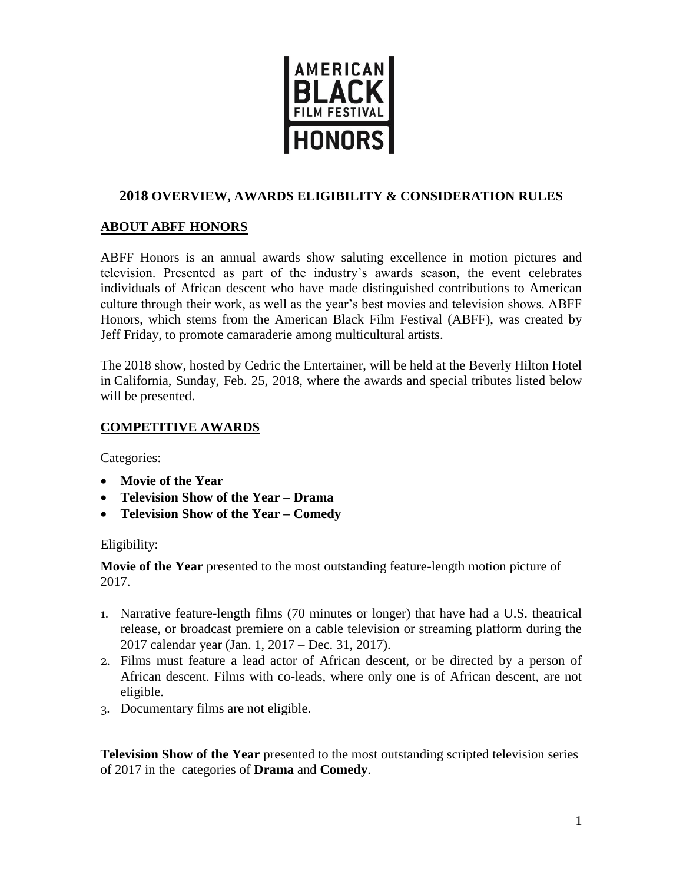

# **2018 OVERVIEW, AWARDS ELIGIBILITY & CONSIDERATION RULES**

# **ABOUT ABFF HONORS**

ABFF Honors is an annual awards show saluting excellence in motion pictures and television. Presented as part of the industry's awards season, the event celebrates individuals of African descent who have made distinguished contributions to American culture through their work, as well as the year's best movies and television shows. ABFF Honors, which stems from the American Black Film Festival (ABFF), was created by Jeff Friday, to promote camaraderie among multicultural artists.

The 2018 show, hosted by Cedric the Entertainer, will be held at the Beverly Hilton Hotel in California, Sunday, Feb. 25, 2018, where the awards and special tributes listed below will be presented.

## **COMPETITIVE AWARDS**

Categories:

- **Movie of the Year**
- **Television Show of the Year – Drama**
- **Television Show of the Year – Comedy**

## Eligibility:

**Movie of the Year** presented to the most outstanding feature-length motion picture of 2017.

- 1. Narrative feature-length films (70 minutes or longer) that have had a U.S. theatrical release, or broadcast premiere on a cable television or streaming platform during the 2017 calendar year (Jan. 1, 2017 – Dec. 31, 2017).
- 2. Films must feature a lead actor of African descent, or be directed by a person of African descent. Films with co-leads, where only one is of African descent, are not eligible.
- 3. Documentary films are not eligible.

**Television Show of the Year** presented to the most outstanding scripted television series of 2017 in the categories of **Drama** and **Comedy**.